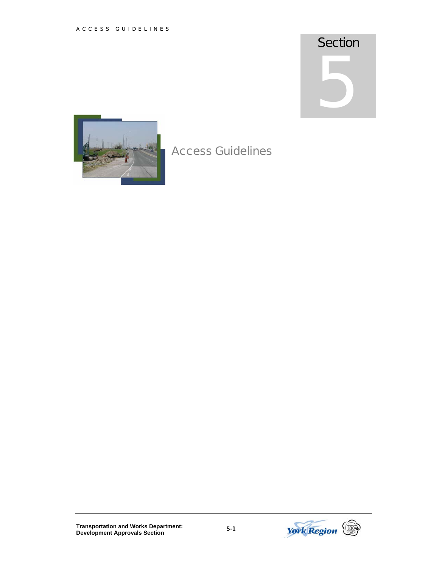## **Section**

5

## Access Guidelines

**Transportation and Works Department: Development Approvals Section** 5-1

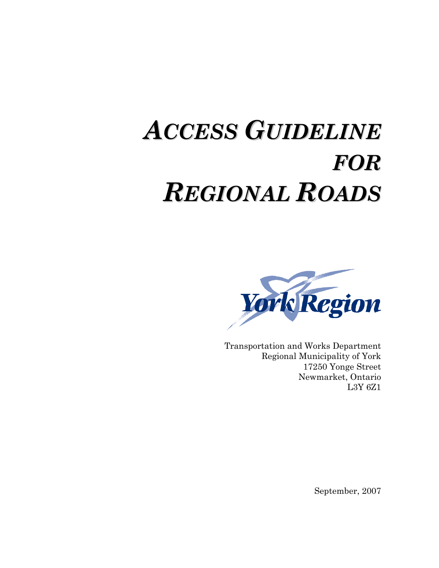# *ACCESS GUIDELINE FOR REGIONAL ROADS*



Transportation and Works Department Regional Municipality of York 17250 Yonge Street Newmarket, Ontario L3Y 6Z1

September, 2007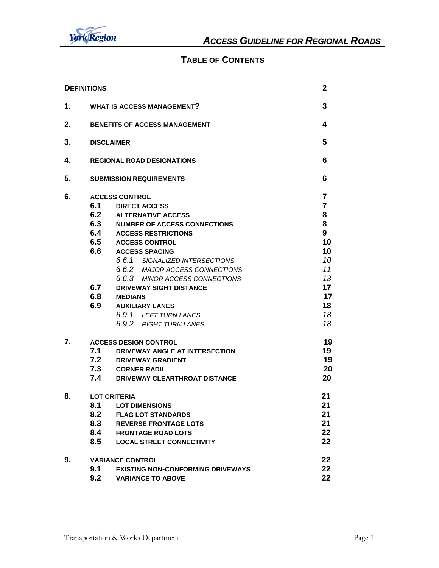

#### **TABLE OF CONTENTS**

| <b>DEFINITIONS</b> |                                               |                                          | $\mathbf{2}$   |  |  |  |  |
|--------------------|-----------------------------------------------|------------------------------------------|----------------|--|--|--|--|
| 1.                 | <b>WHAT IS ACCESS MANAGEMENT?</b>             |                                          |                |  |  |  |  |
| 2.                 |                                               | <b>BENEFITS OF ACCESS MANAGEMENT</b>     | 4              |  |  |  |  |
| 3.                 | <b>DISCLAIMER</b>                             |                                          |                |  |  |  |  |
| 4.                 | <b>REGIONAL ROAD DESIGNATIONS</b>             |                                          |                |  |  |  |  |
| 5.                 |                                               | <b>SUBMISSION REQUIREMENTS</b>           | 6              |  |  |  |  |
| 6.                 |                                               | <b>ACCESS CONTROL</b>                    | 7              |  |  |  |  |
|                    | 6.1                                           | <b>DIRECT ACCESS</b>                     | $\overline{7}$ |  |  |  |  |
|                    | 6.2                                           | <b>ALTERNATIVE ACCESS</b>                | 8              |  |  |  |  |
|                    | 6.3                                           | <b>NUMBER OF ACCESS CONNECTIONS</b>      | 8              |  |  |  |  |
|                    | 6.4                                           | <b>ACCESS RESTRICTIONS</b>               | 9              |  |  |  |  |
|                    | 6.5                                           | <b>ACCESS CONTROL</b>                    | 10             |  |  |  |  |
|                    | 6.6                                           | <b>ACCESS SPACING</b>                    | 10             |  |  |  |  |
|                    |                                               | 6.6.1 SIGNALIZED INTERSECTIONS           | 10             |  |  |  |  |
|                    |                                               | 6.6.2 MAJOR ACCESS CONNECTIONS           | 11             |  |  |  |  |
|                    |                                               | 6.6.3 MINOR ACCESS CONNECTIONS           | 13             |  |  |  |  |
|                    | 6.7                                           | <b>DRIVEWAY SIGHT DISTANCE</b>           | 17             |  |  |  |  |
|                    | 6.8                                           | <b>MEDIANS</b>                           | 17             |  |  |  |  |
|                    | 6.9                                           | <b>AUXILIARY LANES</b>                   | 18             |  |  |  |  |
|                    |                                               | 6.9.1 LEFT TURN LANES                    | 18             |  |  |  |  |
|                    |                                               | 6.9.2 RIGHT TURN LANES                   | 18             |  |  |  |  |
| 7.                 | <b>ACCESS DESIGN CONTROL</b>                  |                                          |                |  |  |  |  |
|                    | 7.1                                           | DRIVEWAY ANGLE AT INTERSECTION           | 19             |  |  |  |  |
|                    | 7.2                                           | <b>DRIVEWAY GRADIENT</b>                 | 19             |  |  |  |  |
|                    | 7.3                                           | <b>CORNER RADII</b>                      | 20             |  |  |  |  |
|                    | 7.4<br>20<br>DRIVEWAY CLEARTHROAT DISTANCE    |                                          |                |  |  |  |  |
| 8.                 | <b>LOT CRITERIA</b>                           |                                          |                |  |  |  |  |
|                    | 8.1                                           | <b>LOT DIMENSIONS</b>                    | 21             |  |  |  |  |
|                    | 8.2                                           | <b>FLAG LOT STANDARDS</b>                | 21             |  |  |  |  |
|                    | 8.3                                           | <b>REVERSE FRONTAGE LOTS</b>             | 21             |  |  |  |  |
|                    | 8.4<br><b>FRONTAGE ROAD LOTS</b>              |                                          |                |  |  |  |  |
|                    | 22<br>8.5<br><b>LOCAL STREET CONNECTIVITY</b> |                                          |                |  |  |  |  |
| 9.                 |                                               | <b>VARIANCE CONTROL</b>                  | 22             |  |  |  |  |
|                    | 9.1                                           | <b>EXISTING NON-CONFORMING DRIVEWAYS</b> | 22             |  |  |  |  |
|                    | 9.2<br>22<br><b>VARIANCE TO ABOVE</b>         |                                          |                |  |  |  |  |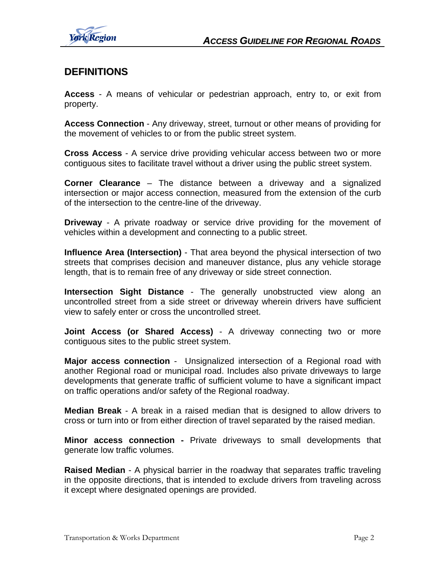

## **DEFINITIONS**

**Access** - A means of vehicular or pedestrian approach, entry to, or exit from property.

**Access Connection** - Any driveway, street, turnout or other means of providing for the movement of vehicles to or from the public street system.

**Cross Access** - A service drive providing vehicular access between two or more contiguous sites to facilitate travel without a driver using the public street system.

**Corner Clearance** – The distance between a driveway and a signalized intersection or major access connection, measured from the extension of the curb of the intersection to the centre-line of the driveway.

**Driveway** - A private roadway or service drive providing for the movement of vehicles within a development and connecting to a public street.

**Influence Area (Intersection)** - That area beyond the physical intersection of two streets that comprises decision and maneuver distance, plus any vehicle storage length, that is to remain free of any driveway or side street connection.

**Intersection Sight Distance** - The generally unobstructed view along an uncontrolled street from a side street or driveway wherein drivers have sufficient view to safely enter or cross the uncontrolled street.

**Joint Access (or Shared Access)** - A driveway connecting two or more contiguous sites to the public street system.

**Major access connection** - Unsignalized intersection of a Regional road with another Regional road or municipal road. Includes also private driveways to large developments that generate traffic of sufficient volume to have a significant impact on traffic operations and/or safety of the Regional roadway.

**Median Break** - A break in a raised median that is designed to allow drivers to cross or turn into or from either direction of travel separated by the raised median.

**Minor access connection -** Private driveways to small developments that generate low traffic volumes.

**Raised Median** - A physical barrier in the roadway that separates traffic traveling in the opposite directions, that is intended to exclude drivers from traveling across it except where designated openings are provided.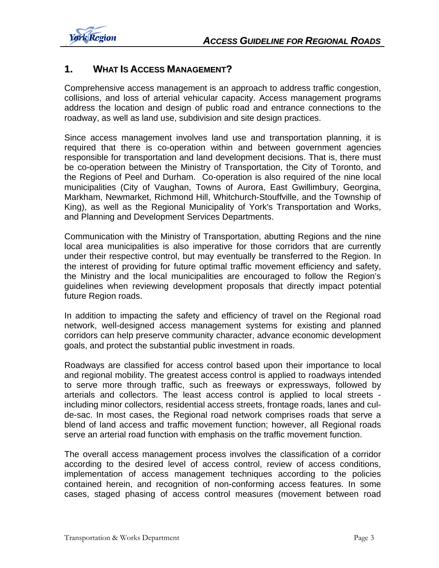

#### **1. WHAT IS ACCESS MANAGEMENT?**

Comprehensive access management is an approach to address traffic congestion, collisions, and loss of arterial vehicular capacity. Access management programs address the location and design of public road and entrance connections to the roadway, as well as land use, subdivision and site design practices.

Since access management involves land use and transportation planning, it is required that there is co-operation within and between government agencies responsible for transportation and land development decisions. That is, there must be co-operation between the Ministry of Transportation, the City of Toronto, and the Regions of Peel and Durham. Co-operation is also required of the nine local municipalities (City of Vaughan, Towns of Aurora, East Gwillimbury, Georgina, Markham, Newmarket, Richmond Hill, Whitchurch-Stouffville, and the Township of King), as well as the Regional Municipality of York's Transportation and Works, and Planning and Development Services Departments.

Communication with the Ministry of Transportation, abutting Regions and the nine local area municipalities is also imperative for those corridors that are currently under their respective control, but may eventually be transferred to the Region. In the interest of providing for future optimal traffic movement efficiency and safety, the Ministry and the local municipalities are encouraged to follow the Region's guidelines when reviewing development proposals that directly impact potential future Region roads.

In addition to impacting the safety and efficiency of travel on the Regional road network, well-designed access management systems for existing and planned corridors can help preserve community character, advance economic development goals, and protect the substantial public investment in roads.

Roadways are classified for access control based upon their importance to local and regional mobility. The greatest access control is applied to roadways intended to serve more through traffic, such as freeways or expressways, followed by arterials and collectors. The least access control is applied to local streets including minor collectors, residential access streets, frontage roads, lanes and culde-sac. In most cases, the Regional road network comprises roads that serve a blend of land access and traffic movement function; however, all Regional roads serve an arterial road function with emphasis on the traffic movement function.

The overall access management process involves the classification of a corridor according to the desired level of access control, review of access conditions, implementation of access management techniques according to the policies contained herein, and recognition of non-conforming access features. In some cases, staged phasing of access control measures (movement between road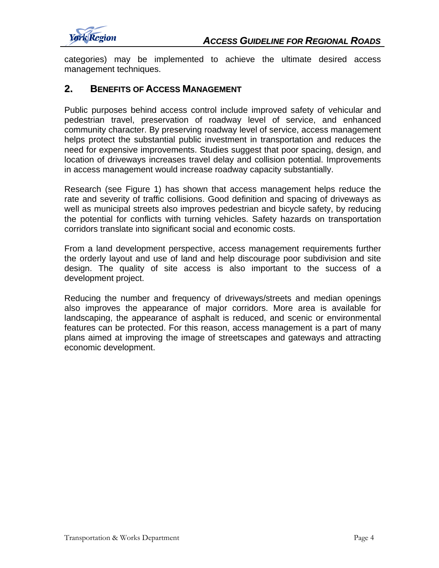

categories) may be implemented to achieve the ultimate desired access management techniques.

#### **2. BENEFITS OF ACCESS MANAGEMENT**

Public purposes behind access control include improved safety of vehicular and pedestrian travel, preservation of roadway level of service, and enhanced community character. By preserving roadway level of service, access management helps protect the substantial public investment in transportation and reduces the need for expensive improvements. Studies suggest that poor spacing, design, and location of driveways increases travel delay and collision potential. Improvements in access management would increase roadway capacity substantially.

Research (see Figure 1) has shown that access management helps reduce the rate and severity of traffic collisions. Good definition and spacing of driveways as well as municipal streets also improves pedestrian and bicycle safety, by reducing the potential for conflicts with turning vehicles. Safety hazards on transportation corridors translate into significant social and economic costs.

From a land development perspective, access management requirements further the orderly layout and use of land and help discourage poor subdivision and site design. The quality of site access is also important to the success of a development project.

Reducing the number and frequency of driveways/streets and median openings also improves the appearance of major corridors. More area is available for landscaping, the appearance of asphalt is reduced, and scenic or environmental features can be protected. For this reason, access management is a part of many plans aimed at improving the image of streetscapes and gateways and attracting economic development.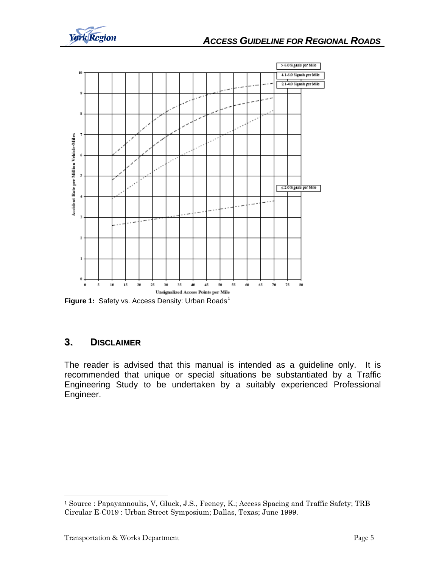<span id="page-6-0"></span>



**Figure [1](#page-6-0):** Safety vs. Access Density: Urban Roads<sup>1</sup>

### **3. DISCLAIMER**

The reader is advised that this manual is intended as a guideline only. It is recommended that unique or special situations be substantiated by a Traffic Engineering Study to be undertaken by a suitably experienced Professional Engineer.

l

<sup>1</sup> Source : Papayannoulis, V, Gluck, J.S., Feeney, K.; Access Spacing and Traffic Safety; TRB Circular E-C019 : Urban Street Symposium; Dallas, Texas; June 1999.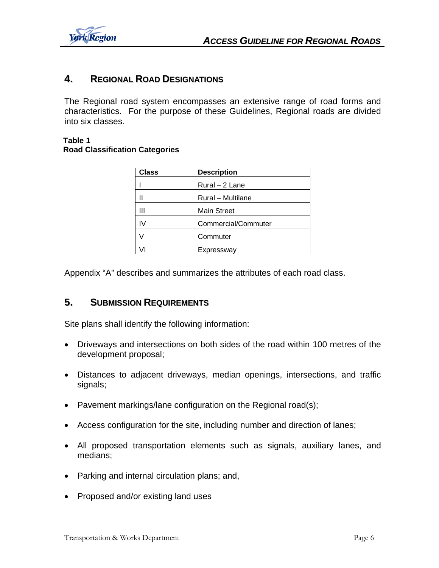

#### **4. REGIONAL ROAD DESIGNATIONS**

The Regional road system encompasses an extensive range of road forms and characteristics. For the purpose of these Guidelines, Regional roads are divided into six classes.

#### **Table 1 Road Classification Categories**

| <b>Class</b> | <b>Description</b>  |
|--------------|---------------------|
|              | Rural - 2 Lane      |
|              | Rural - Multilane   |
| Ш            | <b>Main Street</b>  |
| I٧           | Commercial/Commuter |
|              | Commuter            |
|              | Expressway          |

Appendix "A" describes and summarizes the attributes of each road class.

#### **5. SUBMISSION REQUIREMENTS**

Site plans shall identify the following information:

- Driveways and intersections on both sides of the road within 100 metres of the development proposal;
- Distances to adjacent driveways, median openings, intersections, and traffic signals;
- Pavement markings/lane configuration on the Regional road(s);
- Access configuration for the site, including number and direction of lanes;
- All proposed transportation elements such as signals, auxiliary lanes, and medians;
- Parking and internal circulation plans; and,
- Proposed and/or existing land uses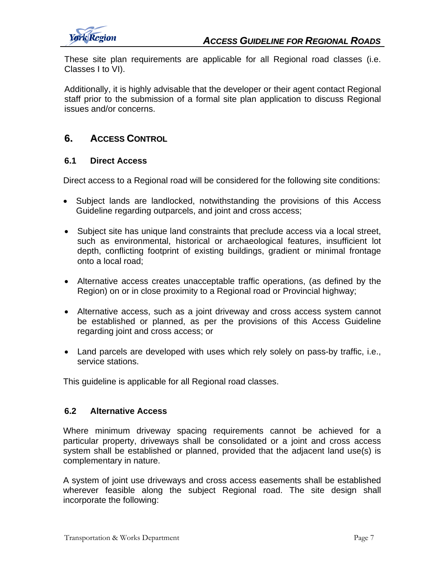These site plan requirements are applicable for all Regional road classes (i.e. Classes I to VI).

Additionally, it is highly advisable that the developer or their agent contact Regional staff prior to the submission of a formal site plan application to discuss Regional issues and/or concerns.

#### **6. ACCESS CONTROL**

#### **6.1 Direct Access**

Direct access to a Regional road will be considered for the following site conditions:

- Subject lands are landlocked, notwithstanding the provisions of this Access Guideline regarding outparcels, and joint and cross access;
- Subject site has unique land constraints that preclude access via a local street, such as environmental, historical or archaeological features, insufficient lot depth, conflicting footprint of existing buildings, gradient or minimal frontage onto a local road;
- Alternative access creates unacceptable traffic operations, (as defined by the Region) on or in close proximity to a Regional road or Provincial highway;
- Alternative access, such as a joint driveway and cross access system cannot be established or planned, as per the provisions of this Access Guideline regarding joint and cross access; or
- Land parcels are developed with uses which rely solely on pass-by traffic, i.e., service stations.

This guideline is applicable for all Regional road classes.

#### **6.2 Alternative Access**

Where minimum driveway spacing requirements cannot be achieved for a particular property, driveways shall be consolidated or a joint and cross access system shall be established or planned, provided that the adjacent land use(s) is complementary in nature.

A system of joint use driveways and cross access easements shall be established wherever feasible along the subject Regional road. The site design shall incorporate the following: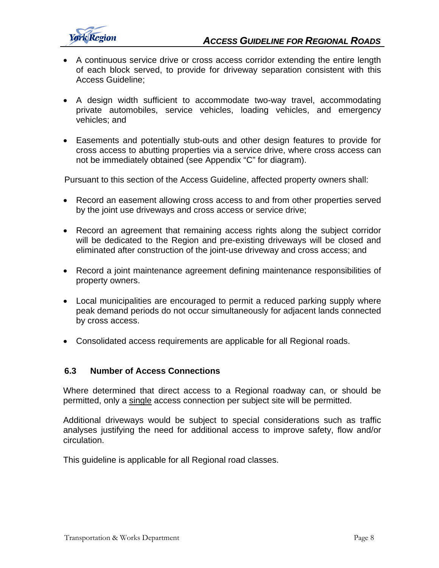

- A continuous service drive or cross access corridor extending the entire length of each block served, to provide for driveway separation consistent with this Access Guideline;
- A design width sufficient to accommodate two-way travel, accommodating private automobiles, service vehicles, loading vehicles, and emergency vehicles; and
- Easements and potentially stub-outs and other design features to provide for cross access to abutting properties via a service drive, where cross access can not be immediately obtained (see Appendix "C" for diagram).

Pursuant to this section of the Access Guideline, affected property owners shall:

- Record an easement allowing cross access to and from other properties served by the joint use driveways and cross access or service drive;
- Record an agreement that remaining access rights along the subject corridor will be dedicated to the Region and pre-existing driveways will be closed and eliminated after construction of the joint-use driveway and cross access; and
- Record a joint maintenance agreement defining maintenance responsibilities of property owners.
- Local municipalities are encouraged to permit a reduced parking supply where peak demand periods do not occur simultaneously for adjacent lands connected by cross access.
- Consolidated access requirements are applicable for all Regional roads.

#### **6.3 Number of Access Connections**

Where determined that direct access to a Regional roadway can, or should be permitted, only a single access connection per subject site will be permitted.

Additional driveways would be subject to special considerations such as traffic analyses justifying the need for additional access to improve safety, flow and/or circulation.

This guideline is applicable for all Regional road classes.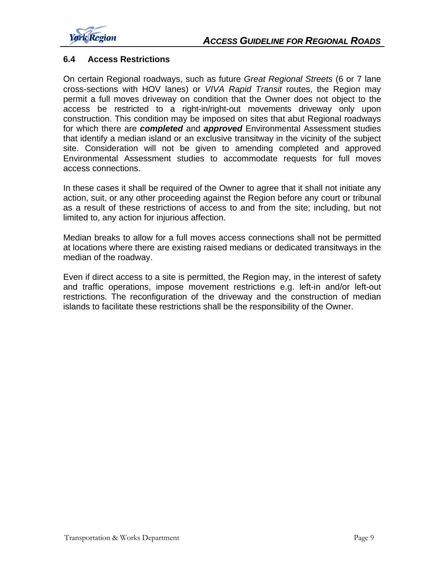

#### **6.4 Access Restrictions**

On certain Regional roadways, such as future *Great Regional Streets* (6 or 7 lane cross-sections with HOV lanes) or *VIVA Rapid Transit* routes, the Region may permit a full moves driveway on condition that the Owner does not object to the access be restricted to a right-in/right-out movements driveway only upon construction. This condition may be imposed on sites that abut Regional roadways for which there are *completed* and *approved* Environmental Assessment studies that identify a median island or an exclusive transitway in the vicinity of the subject site. Consideration will not be given to amending completed and approved Environmental Assessment studies to accommodate requests for full moves access connections.

In these cases it shall be required of the Owner to agree that it shall not initiate any action, suit, or any other proceeding against the Region before any court or tribunal as a result of these restrictions of access to and from the site; including, but not limited to, any action for injurious affection.

Median breaks to allow for a full moves access connections shall not be permitted at locations where there are existing raised medians or dedicated transitways in the median of the roadway.

Even if direct access to a site is permitted, the Region may, in the interest of safety and traffic operations, impose movement restrictions e.g. left-in and/or left-out restrictions. The reconfiguration of the driveway and the construction of median islands to facilitate these restrictions shall be the responsibility of the Owner.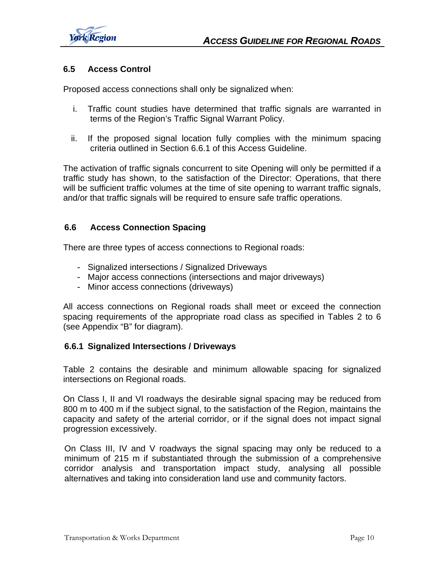

#### **6.5 Access Control**

Proposed access connections shall only be signalized when:

- i. Traffic count studies have determined that traffic signals are warranted in terms of the Region's Traffic Signal Warrant Policy.
- ii. If the proposed signal location fully complies with the minimum spacing criteria outlined in Section 6.6.1 of this Access Guideline.

The activation of traffic signals concurrent to site Opening will only be permitted if a traffic study has shown, to the satisfaction of the Director: Operations, that there will be sufficient traffic volumes at the time of site opening to warrant traffic signals, and/or that traffic signals will be required to ensure safe traffic operations.

#### **6.6 Access Connection Spacing**

There are three types of access connections to Regional roads:

- Signalized intersections / Signalized Driveways
- Major access connections (intersections and major driveways)
- Minor access connections (driveways)

All access connections on Regional roads shall meet or exceed the connection spacing requirements of the appropriate road class as specified in Tables 2 to 6 (see Appendix "B" for diagram).

#### **6.6.1 Signalized Intersections / Driveways**

Table 2 contains the desirable and minimum allowable spacing for signalized intersections on Regional roads.

On Class I, II and VI roadways the desirable signal spacing may be reduced from 800 m to 400 m if the subject signal, to the satisfaction of the Region, maintains the capacity and safety of the arterial corridor, or if the signal does not impact signal progression excessively.

On Class III, IV and V roadways the signal spacing may only be reduced to a minimum of 215 m if substantiated through the submission of a comprehensive corridor analysis and transportation impact study, analysing all possible alternatives and taking into consideration land use and community factors.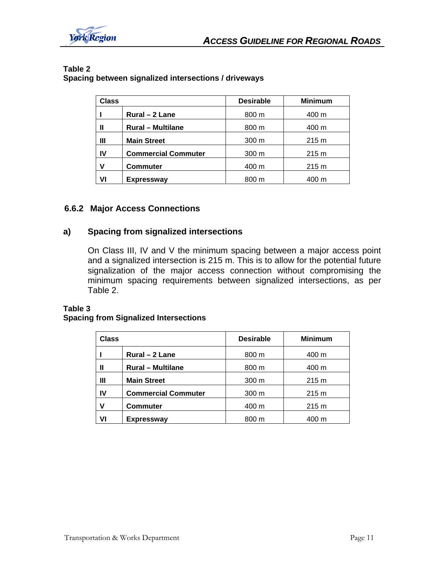

| Class |                            | <b>Desirable</b> | <b>Minimum</b> |
|-------|----------------------------|------------------|----------------|
|       | Rural - 2 Lane             | 800 m            | 400 m          |
|       | <b>Rural - Multilane</b>   | 800 m            | 400 m          |
| Ш     | <b>Main Street</b>         | $300 \text{ m}$  | 215 m          |
| IV    | <b>Commercial Commuter</b> | 300 <sub>m</sub> | 215 m          |
| v     | <b>Commuter</b>            | 400 m            | 215 m          |
| ٧I    | <b>Expressway</b>          | 800 m            | 400 m          |

#### **Table 2 Spacing between signalized intersections / driveways**

#### **6.6.2 Major Access Connections**

#### **a) Spacing from signalized intersections**

On Class III, IV and V the minimum spacing between a major access point and a signalized intersection is 215 m. This is to allow for the potential future signalization of the major access connection without compromising the minimum spacing requirements between signalized intersections, as per Table 2.

#### **Table 3**

#### **Spacing from Signalized Intersections**

| Class |                            | <b>Desirable</b> | <b>Minimum</b> |
|-------|----------------------------|------------------|----------------|
|       | Rural - 2 Lane             | 800 m            | 400 m          |
| Ш     | <b>Rural - Multilane</b>   | 800 m            | 400 m          |
| Ш     | <b>Main Street</b>         | 300 <sub>m</sub> | 215 m          |
| IV    | <b>Commercial Commuter</b> | 300 m            | 215 m          |
| v     | <b>Commuter</b>            | 400 m            | 215 m          |
| ٧I    | <b>Expressway</b>          | 800 m            | 400 m          |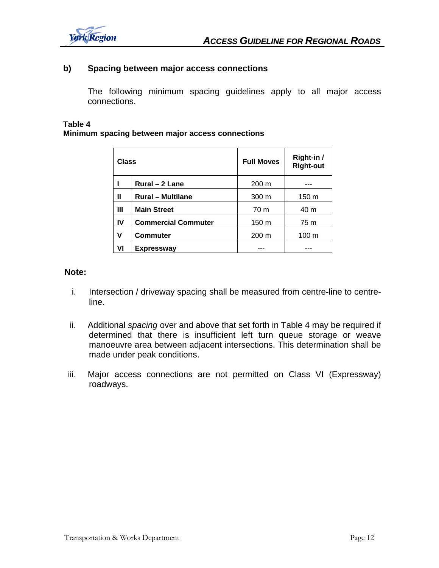

#### **b) Spacing between major access connections**

 The following minimum spacing guidelines apply to all major access connections.

#### **Table 4**

#### **Minimum spacing between major access connections**

| Class |                            | <b>Full Moves</b> | Right-in /<br><b>Right-out</b> |  |
|-------|----------------------------|-------------------|--------------------------------|--|
|       | Rural - 2 Lane             | $200 \text{ m}$   |                                |  |
| Ш     | <b>Rural - Multilane</b>   | 300 <sub>m</sub>  | 150 m                          |  |
| Ш     | <b>Main Street</b>         | 70 m              | 40 m                           |  |
| IV    | <b>Commercial Commuter</b> | 150 m             | 75 m                           |  |
| ۷     | <b>Commuter</b>            | 200 m             | 100 <sub>m</sub>               |  |
| VI    | <b>Expressway</b>          |                   |                                |  |

#### **Note:**

- i. Intersection / driveway spacing shall be measured from centre-line to centreline.
- ii. Additional *spacing* over and above that set forth in Table 4 may be required if determined that there is insufficient left turn queue storage or weave manoeuvre area between adjacent intersections. This determination shall be made under peak conditions.
- iii. Major access connections are not permitted on Class VI (Expressway) roadways.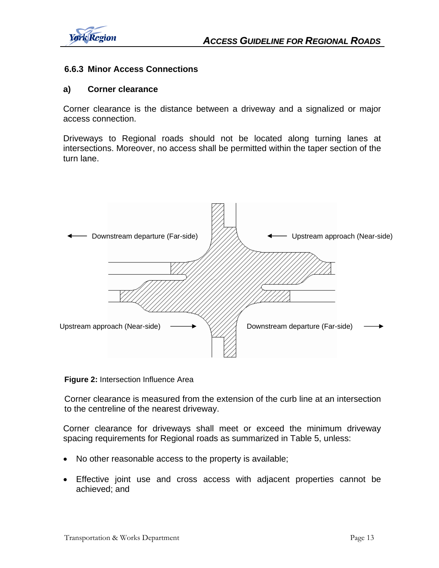

#### **6.6.3 Minor Access Connections**

#### **a) Corner clearance**

Corner clearance is the distance between a driveway and a signalized or major access connection.

Driveways to Regional roads should not be located along turning lanes at intersections. Moreover, no access shall be permitted within the taper section of the turn lane.



**Figure 2:** Intersection Influence Area

Corner clearance is measured from the extension of the curb line at an intersection to the centreline of the nearest driveway.

Corner clearance for driveways shall meet or exceed the minimum driveway spacing requirements for Regional roads as summarized in Table 5, unless:

- No other reasonable access to the property is available;
- Effective joint use and cross access with adjacent properties cannot be achieved; and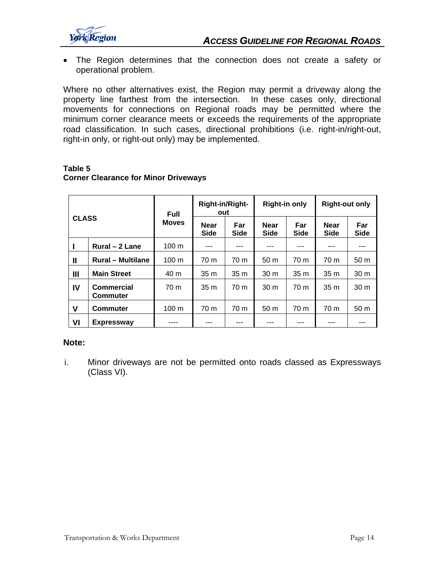

• The Region determines that the connection does not create a safety or operational problem.

Where no other alternatives exist, the Region may permit a driveway along the property line farthest from the intersection. In these cases only, directional movements for connections on Regional roads may be permitted where the minimum corner clearance meets or exceeds the requirements of the appropriate road classification. In such cases, directional prohibitions (i.e. right-in/right-out, right-in only, or right-out only) may be implemented.

#### **Table 5**

#### **Corner Clearance for Minor Driveways**

| <b>CLASS</b> |                                      | <b>Full</b>     |                            | <b>Right-in/Right-</b><br><b>Right-in only</b><br>out |                            |                    | <b>Right-out only</b>      |                    |
|--------------|--------------------------------------|-----------------|----------------------------|-------------------------------------------------------|----------------------------|--------------------|----------------------------|--------------------|
|              |                                      | <b>Moves</b>    | <b>Near</b><br><b>Side</b> | Far<br><b>Side</b>                                    | <b>Near</b><br><b>Side</b> | Far<br><b>Side</b> | <b>Near</b><br><b>Side</b> | Far<br><b>Side</b> |
|              | Rural - 2 Lane                       | $100 \text{ m}$ | ---                        |                                                       | ---                        | ---                | ---                        |                    |
| Ш            | <b>Rural - Multilane</b>             | $100 \text{ m}$ | 70 m                       | 70 m                                                  | 50 <sub>m</sub>            | 70 m               | 70 m                       | 50 <sub>m</sub>    |
| Ш            | <b>Main Street</b>                   | 40 m            | 35 <sub>m</sub>            | 35 <sub>m</sub>                                       | 30 <sub>m</sub>            | 35 <sub>m</sub>    | 35 <sub>m</sub>            | 30 <sub>m</sub>    |
| IV           | <b>Commercial</b><br><b>Commuter</b> | 70 m            | 35 <sub>m</sub>            | 70 <sub>m</sub>                                       | 30 <sub>m</sub>            | 70 m               | 35m                        | 30 <sub>m</sub>    |
| V            | <b>Commuter</b>                      | $100 \text{ m}$ | 70 m                       | 70 m                                                  | 50 <sub>m</sub>            | 70 m               | 70 m                       | 50 <sub>m</sub>    |
| VI           | <b>Expressway</b>                    |                 |                            |                                                       |                            |                    |                            |                    |

#### **Note:**

i. Minor driveways are not be permitted onto roads classed as Expressways (Class VI).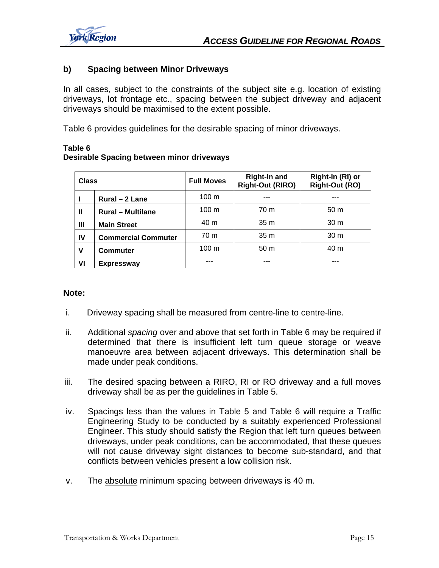

#### **b) Spacing between Minor Driveways**

In all cases, subject to the constraints of the subject site e.g. location of existing driveways, lot frontage etc., spacing between the subject driveway and adjacent driveways should be maximised to the extent possible.

Table 6 provides guidelines for the desirable spacing of minor driveways.

#### **Table 6 Desirable Spacing between minor driveways**

| <b>Class</b> |                            | <b>Full Moves</b> | <b>Right-In and</b><br><b>Right-Out (RIRO)</b> | Right-In (RI) or<br><b>Right-Out (RO)</b> |
|--------------|----------------------------|-------------------|------------------------------------------------|-------------------------------------------|
|              | Rural - 2 Lane             | $100 \text{ m}$   | ---                                            | ---                                       |
| $\mathbf{I}$ | <b>Rural - Multilane</b>   | $100 \text{ m}$   | 70 m                                           | 50 <sub>m</sub>                           |
| Ш            | <b>Main Street</b>         | 40 m              | 35m                                            | 30 <sub>m</sub>                           |
| <b>IV</b>    | <b>Commercial Commuter</b> | 70 m              | 35 <sub>m</sub>                                | 30 <sub>m</sub>                           |
| $\mathbf v$  | <b>Commuter</b>            | $100 \text{ m}$   | 50 <sub>m</sub>                                | 40 m                                      |
| VI           | <b>Expressway</b>          | ---               | ---                                            | ---                                       |

#### **Note:**

- i. Driveway spacing shall be measured from centre-line to centre-line.
- ii. Additional *spacing* over and above that set forth in Table 6 may be required if determined that there is insufficient left turn queue storage or weave manoeuvre area between adjacent driveways. This determination shall be made under peak conditions.
- iii. The desired spacing between a RIRO, RI or RO driveway and a full moves driveway shall be as per the guidelines in Table 5.
- iv. Spacings less than the values in Table 5 and Table 6 will require a Traffic Engineering Study to be conducted by a suitably experienced Professional Engineer. This study should satisfy the Region that left turn queues between driveways, under peak conditions, can be accommodated, that these queues will not cause driveway sight distances to become sub-standard, and that conflicts between vehicles present a low collision risk.
- v. The absolute minimum spacing between driveways is 40 m.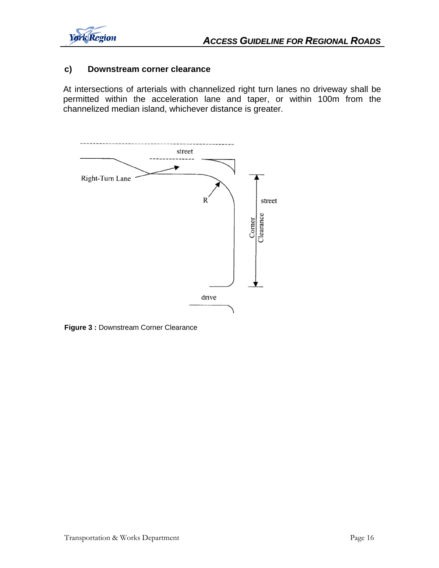

#### **c) Downstream corner clearance**

At intersections of arterials with channelized right turn lanes no driveway shall be permitted within the acceleration lane and taper, or within 100m from the channelized median island, whichever distance is greater.



**Figure 3 :** Downstream Corner Clearance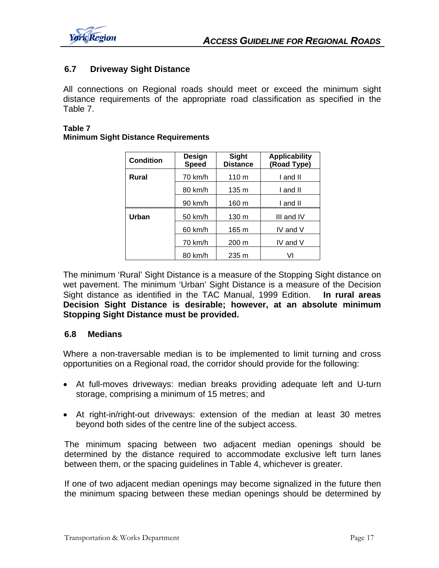

#### **6.7 Driveway Sight Distance**

All connections on Regional roads should meet or exceed the minimum sight distance requirements of the appropriate road classification as specified in the Table 7.

#### **Table 7**

|  |  | <b>Minimum Sight Distance Requirements</b> |
|--|--|--------------------------------------------|
|  |  |                                            |

| <b>Condition</b> | Design<br><b>Speed</b> | <b>Sight</b><br><b>Distance</b> | <b>Applicability</b><br>(Road Type) |
|------------------|------------------------|---------------------------------|-------------------------------------|
| Rural            | 70 km/h                | 110 <sub>m</sub>                | I and II                            |
|                  | 80 km/h                | $135 \text{ m}$                 | I and II                            |
|                  | 90 km/h                | 160 m                           | I and II                            |
| Urban            | 50 km/h                | $130 \text{ m}$                 | III and IV                          |
|                  | 60 km/h                | 165 m                           | IV and $V$                          |
|                  | 70 km/h                | $200 \text{ m}$                 | IV and V                            |
|                  | 80 km/h                | $235 \text{ m}$                 | VI                                  |

The minimum 'Rural' Sight Distance is a measure of the Stopping Sight distance on wet pavement. The minimum 'Urban' Sight Distance is a measure of the Decision Sight distance as identified in the TAC Manual, 1999 Edition. **In rural areas Decision Sight Distance is desirable; however, at an absolute minimum Stopping Sight Distance must be provided.** 

#### **6.8 Medians**

Where a non-traversable median is to be implemented to limit turning and cross opportunities on a Regional road, the corridor should provide for the following:

- At full-moves driveways: median breaks providing adequate left and U-turn storage, comprising a minimum of 15 metres; and
- At right-in/right-out driveways: extension of the median at least 30 metres beyond both sides of the centre line of the subject access.

The minimum spacing between two adjacent median openings should be determined by the distance required to accommodate exclusive left turn lanes between them, or the spacing guidelines in Table 4, whichever is greater.

If one of two adjacent median openings may become signalized in the future then the minimum spacing between these median openings should be determined by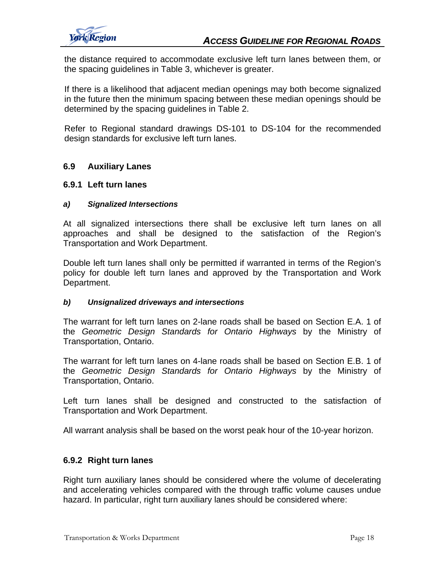

the distance required to accommodate exclusive left turn lanes between them, or the spacing guidelines in Table 3, whichever is greater.

If there is a likelihood that adjacent median openings may both become signalized in the future then the minimum spacing between these median openings should be determined by the spacing guidelines in Table 2.

Refer to Regional standard drawings DS-101 to DS-104 for the recommended design standards for exclusive left turn lanes.

#### **6.9 Auxiliary Lanes**

#### **6.9.1 Left turn lanes**

#### *a) Signalized Intersections*

At all signalized intersections there shall be exclusive left turn lanes on all approaches and shall be designed to the satisfaction of the Region's Transportation and Work Department.

Double left turn lanes shall only be permitted if warranted in terms of the Region's policy for double left turn lanes and approved by the Transportation and Work Department.

#### *b) Unsignalized driveways and intersections*

The warrant for left turn lanes on 2-lane roads shall be based on Section E.A. 1 of the *Geometric Design Standards for Ontario Highways* by the Ministry of Transportation, Ontario.

The warrant for left turn lanes on 4-lane roads shall be based on Section E.B. 1 of the *Geometric Design Standards for Ontario Highways* by the Ministry of Transportation, Ontario.

Left turn lanes shall be designed and constructed to the satisfaction of Transportation and Work Department.

All warrant analysis shall be based on the worst peak hour of the 10-year horizon.

#### **6.9.2 Right turn lanes**

Right turn auxiliary lanes should be considered where the volume of decelerating and accelerating vehicles compared with the through traffic volume causes undue hazard. In particular, right turn auxiliary lanes should be considered where: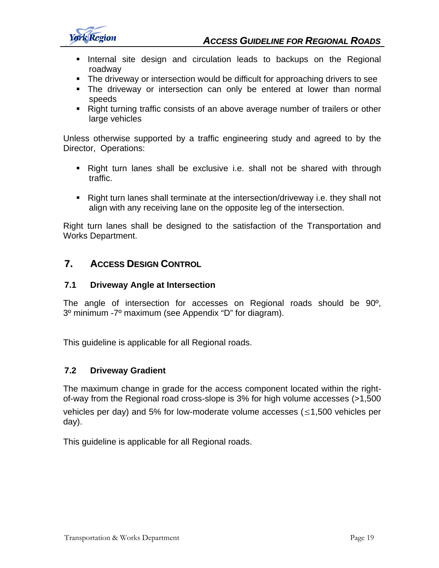

- **Internal site design and circulation leads to backups on the Regional** roadway
- The driveway or intersection would be difficult for approaching drivers to see
- The driveway or intersection can only be entered at lower than normal speeds
- Right turning traffic consists of an above average number of trailers or other large vehicles

Unless otherwise supported by a traffic engineering study and agreed to by the Director, Operations:

- Right turn lanes shall be exclusive i.e. shall not be shared with through traffic.
- Right turn lanes shall terminate at the intersection/driveway i.e. they shall not align with any receiving lane on the opposite leg of the intersection.

Right turn lanes shall be designed to the satisfaction of the Transportation and Works Department.

#### **7. ACCESS DESIGN CONTROL**

#### **7.1 Driveway Angle at Intersection**

The angle of intersection for accesses on Regional roads should be 90º, 3º minimum -7º maximum (see Appendix "D" for diagram).

This guideline is applicable for all Regional roads.

#### **7.2 Driveway Gradient**

The maximum change in grade for the access component located within the rightof-way from the Regional road cross-slope is 3% for high volume accesses (>1,500 vehicles per day) and 5% for low-moderate volume accesses ( $\leq$ 1,500 vehicles per day).

This guideline is applicable for all Regional roads.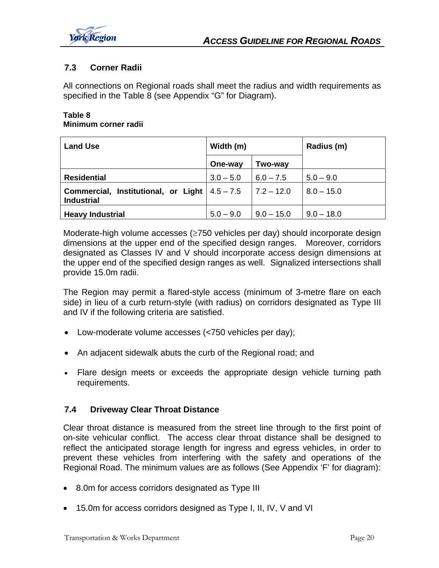

#### **7.3 Corner Radii**

All connections on Regional roads shall meet the radius and width requirements as specified in the Table 8 (see Appendix "G" for Diagram).

#### **Table 8 Minimum corner radii**

| <b>Land Use</b>                                                        | Width (m)   |              | Radius (m)   |
|------------------------------------------------------------------------|-------------|--------------|--------------|
|                                                                        | One-way     | Two-way      |              |
| <b>Residential</b>                                                     | $3.0 - 5.0$ | $6.0 - 7.5$  | $5.0 - 9.0$  |
| Commercial, Institutional, or Light $ 4.5 - 7.5 $<br><b>Industrial</b> |             | $7.2 - 12.0$ | $8.0 - 15.0$ |
| <b>Heavy Industrial</b>                                                | $5.0 - 9.0$ | $9.0 - 15.0$ | $9.0 - 18.0$ |

Moderate-high volume accesses (≥750 vehicles per day) should incorporate design dimensions at the upper end of the specified design ranges. Moreover, corridors designated as Classes IV and V should incorporate access design dimensions at the upper end of the specified design ranges as well. Signalized intersections shall provide 15.0m radii.

The Region may permit a flared-style access (minimum of 3-metre flare on each side) in lieu of a curb return-style (with radius) on corridors designated as Type III and IV if the following criteria are satisfied.

- Low-moderate volume accesses (<750 vehicles per day);
- An adjacent sidewalk abuts the curb of the Regional road; and
- Flare design meets or exceeds the appropriate design vehicle turning path requirements.

#### **7.4 Driveway Clear Throat Distance**

Clear throat distance is measured from the street line through to the first point of on-site vehicular conflict. The access clear throat distance shall be designed to reflect the anticipated storage length for ingress and egress vehicles, in order to prevent these vehicles from interfering with the safety and operations of the Regional Road. The minimum values are as follows (See Appendix 'F' for diagram):

- 8.0m for access corridors designated as Type III
- 15.0m for access corridors designed as Type I, II, IV, V and VI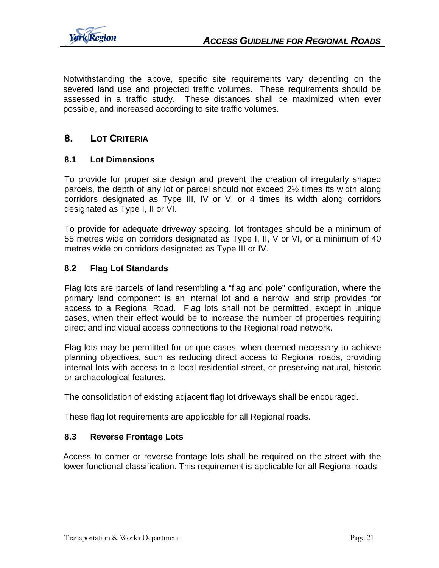

Notwithstanding the above, specific site requirements vary depending on the severed land use and projected traffic volumes. These requirements should be assessed in a traffic study. These distances shall be maximized when ever possible, and increased according to site traffic volumes.

#### **8. LOT CRITERIA**

#### **8.1 Lot Dimensions**

To provide for proper site design and prevent the creation of irregularly shaped parcels, the depth of any lot or parcel should not exceed 2½ times its width along corridors designated as Type III, IV or V, or 4 times its width along corridors designated as Type I, II or VI.

To provide for adequate driveway spacing, lot frontages should be a minimum of 55 metres wide on corridors designated as Type I, II, V or VI, or a minimum of 40 metres wide on corridors designated as Type III or IV.

#### **8.2 Flag Lot Standards**

Flag lots are parcels of land resembling a "flag and pole" configuration, where the primary land component is an internal lot and a narrow land strip provides for access to a Regional Road. Flag lots shall not be permitted, except in unique cases, when their effect would be to increase the number of properties requiring direct and individual access connections to the Regional road network.

Flag lots may be permitted for unique cases, when deemed necessary to achieve planning objectives, such as reducing direct access to Regional roads, providing internal lots with access to a local residential street, or preserving natural, historic or archaeological features.

The consolidation of existing adjacent flag lot driveways shall be encouraged.

These flag lot requirements are applicable for all Regional roads.

#### **8.3 Reverse Frontage Lots**

Access to corner or reverse-frontage lots shall be required on the street with the lower functional classification. This requirement is applicable for all Regional roads.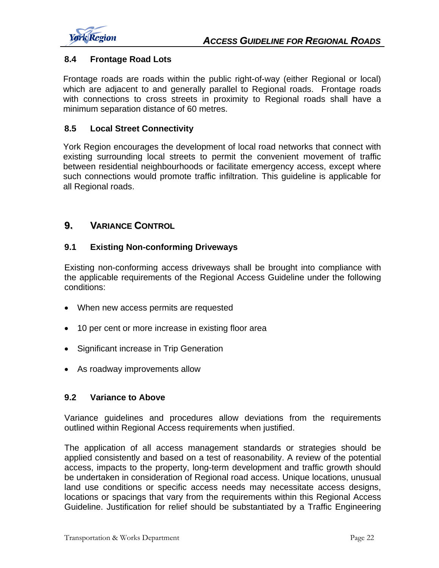

#### **8.4 Frontage Road Lots**

Frontage roads are roads within the public right-of-way (either Regional or local) which are adjacent to and generally parallel to Regional roads. Frontage roads with connections to cross streets in proximity to Regional roads shall have a minimum separation distance of 60 metres.

#### **8.5 Local Street Connectivity**

York Region encourages the development of local road networks that connect with existing surrounding local streets to permit the convenient movement of traffic between residential neighbourhoods or facilitate emergency access, except where such connections would promote traffic infiltration. This guideline is applicable for all Regional roads.

#### **9. VARIANCE CONTROL**

#### **9.1 Existing Non-conforming Driveways**

Existing non-conforming access driveways shall be brought into compliance with the applicable requirements of the Regional Access Guideline under the following conditions:

- When new access permits are requested
- 10 per cent or more increase in existing floor area
- Significant increase in Trip Generation
- As roadway improvements allow

#### **9.2 Variance to Above**

Variance guidelines and procedures allow deviations from the requirements outlined within Regional Access requirements when justified.

The application of all access management standards or strategies should be applied consistently and based on a test of reasonability. A review of the potential access, impacts to the property, long-term development and traffic growth should be undertaken in consideration of Regional road access. Unique locations, unusual land use conditions or specific access needs may necessitate access designs, locations or spacings that vary from the requirements within this Regional Access Guideline. Justification for relief should be substantiated by a Traffic Engineering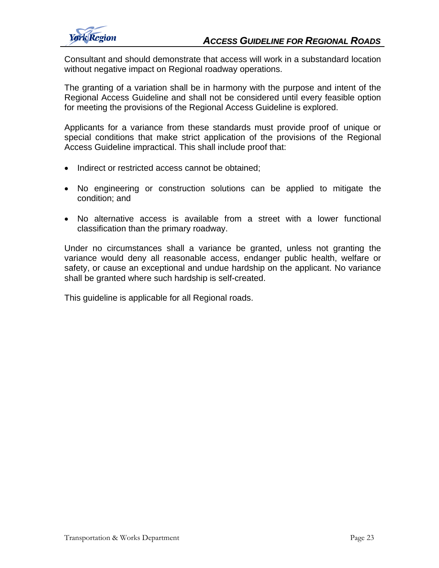

Consultant and should demonstrate that access will work in a substandard location without negative impact on Regional roadway operations.

The granting of a variation shall be in harmony with the purpose and intent of the Regional Access Guideline and shall not be considered until every feasible option for meeting the provisions of the Regional Access Guideline is explored.

Applicants for a variance from these standards must provide proof of unique or special conditions that make strict application of the provisions of the Regional Access Guideline impractical. This shall include proof that:

- Indirect or restricted access cannot be obtained;
- No engineering or construction solutions can be applied to mitigate the condition; and
- No alternative access is available from a street with a lower functional classification than the primary roadway.

Under no circumstances shall a variance be granted, unless not granting the variance would deny all reasonable access, endanger public health, welfare or safety, or cause an exceptional and undue hardship on the applicant. No variance shall be granted where such hardship is self-created.

This guideline is applicable for all Regional roads.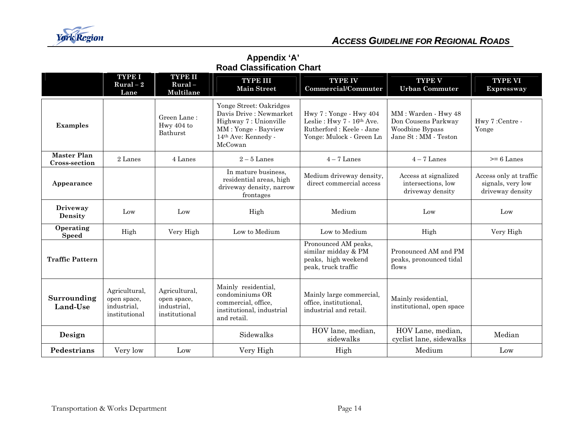

#### **Appendix 'A' Road Classification Chart**

|                                            | <b>TYPE I</b><br>$Rural-2$<br>Lane                           | <b>TYPE II</b><br>$Rural -$<br>Multilane                     | <b>TYPE III</b><br><b>Main Street</b>                                                                                                            | <b>TYPE IV</b><br><b>Commercial/Commuter</b>                                                                | <b>TYPE V</b><br><b>Urban Commuter</b>                                                | <b>TYPE VI</b><br><b>Expressway</b>                             |
|--------------------------------------------|--------------------------------------------------------------|--------------------------------------------------------------|--------------------------------------------------------------------------------------------------------------------------------------------------|-------------------------------------------------------------------------------------------------------------|---------------------------------------------------------------------------------------|-----------------------------------------------------------------|
| <b>Examples</b>                            |                                                              | Green Lane:<br>Hwy 404 to<br><b>Bathurst</b>                 | Yonge Street: Oakridges<br>Davis Drive : Newmarket<br>Highway 7: Unionville<br>MM: Yonge - Bayview<br>14 <sup>th</sup> Ave: Kennedy -<br>McCowan | Hwy 7: Yonge - Hwy 404<br>Leslie: Hwy 7 - 16th Ave.<br>Rutherford: Keele - Jane<br>Yonge: Mulock - Green Ln | MM: Warden - Hwy 48<br>Don Cousens Parkway<br>Woodbine Bypass<br>Jane St: MM - Teston | Hwy 7:Centre -<br>Yonge                                         |
| <b>Master Plan</b><br><b>Cross-section</b> | 2 Lanes                                                      | 4 Lanes                                                      | $2-5$ Lanes                                                                                                                                      | $4-7$ Lanes                                                                                                 | $4-7$ Lanes                                                                           | $>= 6$ Lanes                                                    |
| Appearance                                 |                                                              |                                                              | In mature business.<br>residential areas, high<br>driveway density, narrow<br>frontages                                                          | Medium driveway density,<br>direct commercial access                                                        | Access at signalized<br>intersections, low<br>driveway density                        | Access only at traffic<br>signals, very low<br>driveway density |
| Driveway<br><b>Density</b>                 | Low                                                          | Low                                                          | High                                                                                                                                             | Medium                                                                                                      | Low                                                                                   | Low                                                             |
| Operating<br><b>Speed</b>                  | High                                                         | Very High                                                    | Low to Medium                                                                                                                                    | Low to Medium                                                                                               | High                                                                                  | Very High                                                       |
| <b>Traffic Pattern</b>                     |                                                              |                                                              |                                                                                                                                                  | Pronounced AM peaks,<br>similar midday & PM<br>peaks, high weekend<br>peak, truck traffic                   | Pronounced AM and PM<br>peaks, pronounced tidal<br>flows                              |                                                                 |
| Surrounding<br>Land-Use                    | Agricultural,<br>open space,<br>industrial,<br>institutional | Agricultural,<br>open space,<br>industrial,<br>institutional | Mainly residential,<br>condominiums OR<br>commercial, office,<br>institutional, industrial<br>and retail.                                        | Mainly large commercial,<br>office, institutional,<br>industrial and retail.                                | Mainly residential,<br>institutional, open space                                      |                                                                 |
| Design                                     |                                                              |                                                              | Sidewalks                                                                                                                                        | HOV lane, median,<br>sidewalks                                                                              | HOV Lane, median,<br>cyclist lane, sidewalks                                          | Median                                                          |
| Pedestrians                                | Very low                                                     | Low                                                          | Very High                                                                                                                                        | High                                                                                                        | Medium                                                                                | Low                                                             |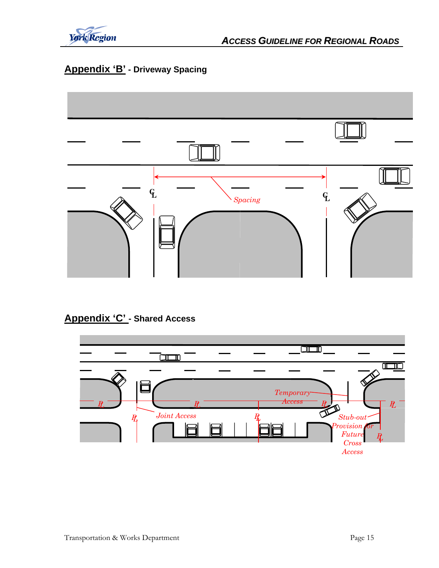

## **Appendix 'B' - Driveway Spacing**



## **Appendix 'C' - Shared Access**

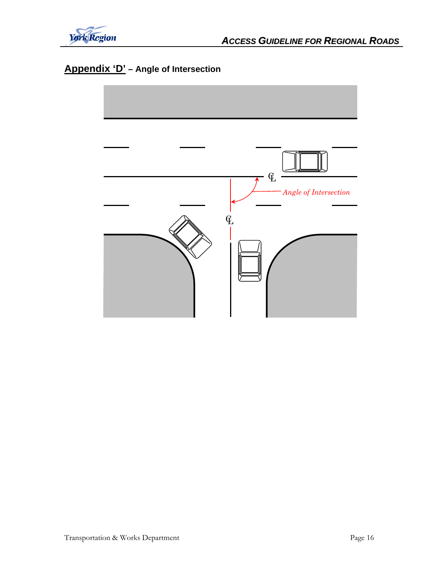

## **Appendix 'D' – Angle of Intersection**

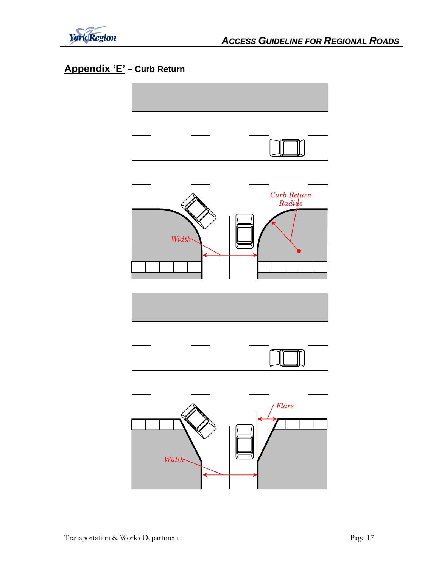

## **Appendix 'E' – Curb Return**